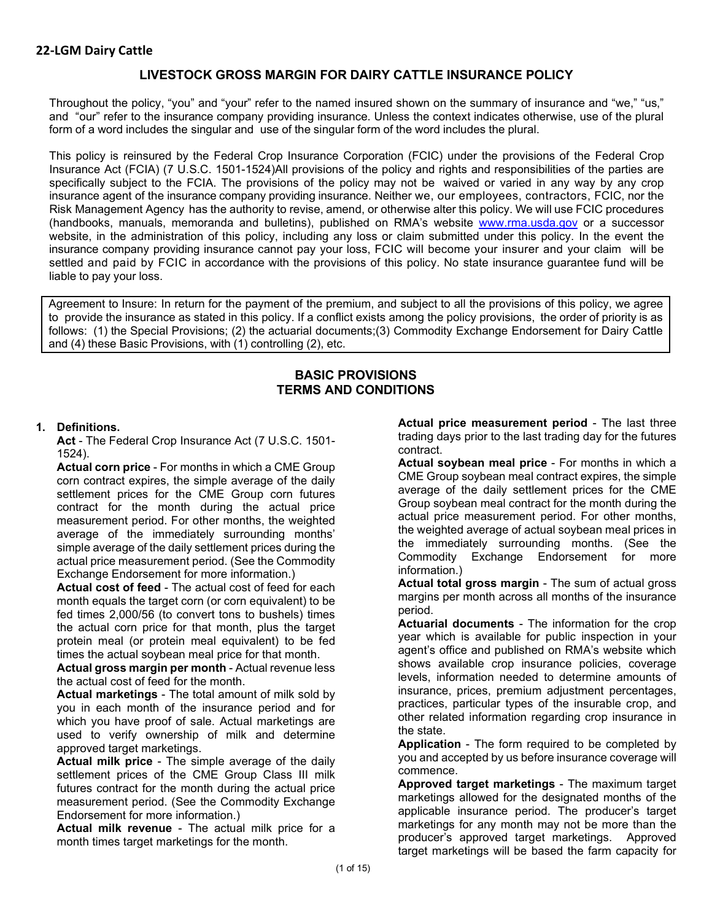# **LIVESTOCK GROSS MARGIN FOR DAIRY CATTLE INSURANCE POLICY**

Throughout the policy, "you" and "your" refer to the named insured shown on the summary of insurance and "we," "us," and "our" refer to the insurance company providing insurance. Unless the context indicates otherwise, use of the plural form of a word includes the singular and use of the singular form of the word includes the plural.

This policy is reinsured by the Federal Crop Insurance Corporation (FCIC) under the provisions of the Federal Crop Insurance Act (FCIA) (7 U.S.C. 1501-1524)All provisions of the policy and rights and responsibilities of the parties are specifically subject to the FCIA. The provisions of the policy may not be waived or varied in any way by any crop insurance agent of the insurance company providing insurance. Neither we, our employees, contractors, FCIC, nor the Risk Management Agency has the authority to revise, amend, or otherwise alter this policy. We will use FCIC procedures (handbooks, manuals, memoranda and bulletins), published on RMA's website [www.rma.usda.gov](https://www.rma.usda.gov/) or a successor website, in the administration of this policy, including any loss or claim submitted under this policy. In the event the insurance company providing insurance cannot pay your loss, FCIC will become your insurer and your claim will be settled and paid by FCIC in accordance with the provisions of this policy. No state insurance guarantee fund will be liable to pay your loss.

Agreement to Insure: In return for the payment of the premium, and subject to all the provisions of this policy, we agree to provide the insurance as stated in this policy. If a conflict exists among the policy provisions, the order of priority is as follows: (1) the Special Provisions; (2) the actuarial documents;(3) Commodity Exchange Endorsement for Dairy Cattle and (4) these Basic Provisions, with (1) controlling (2), etc.

### **BASIC PROVISIONS TERMS AND CONDITIONS**

#### **1. Definitions.**

**Act** - The Federal Crop Insurance Act (7 U.S.C. 1501- 1524).

**Actual corn price** - For months in which a CME Group corn contract expires, the simple average of the daily settlement prices for the CME Group corn futures contract for the month during the actual price measurement period. For other months, the weighted average of the immediately surrounding months' simple average of the daily settlement prices during the actual price measurement period. (See the Commodity Exchange Endorsement for more information.)

**Actual cost of feed** - The actual cost of feed for each month equals the target corn (or corn equivalent) to be fed times 2,000/56 (to convert tons to bushels) times the actual corn price for that month, plus the target protein meal (or protein meal equivalent) to be fed times the actual soybean meal price for that month.

**Actual gross margin per month** - Actual revenue less the actual cost of feed for the month.

**Actual marketings** - The total amount of milk sold by you in each month of the insurance period and for which you have proof of sale. Actual marketings are used to verify ownership of milk and determine approved target marketings.

**Actual milk price** - The simple average of the daily settlement prices of the CME Group Class III milk futures contract for the month during the actual price measurement period. (See the Commodity Exchange Endorsement for more information.)

**Actual milk revenue** - The actual milk price for a month times target marketings for the month.

**Actual price measurement period** - The last three trading days prior to the last trading day for the futures contract.

**Actual soybean meal price** - For months in which a CME Group soybean meal contract expires, the simple average of the daily settlement prices for the CME Group soybean meal contract for the month during the actual price measurement period. For other months, the weighted average of actual soybean meal prices in the immediately surrounding months. (See the Commodity Exchange Endorsement for more information.)

**Actual total gross margin** - The sum of actual gross margins per month across all months of the insurance period.

**Actuarial documents** - The information for the crop year which is available for public inspection in your agent's office and published on RMA's website which shows available crop insurance policies, coverage levels, information needed to determine amounts of insurance, prices, premium adjustment percentages, practices, particular types of the insurable crop, and other related information regarding crop insurance in the state.

**Application** - The form required to be completed by you and accepted by us before insurance coverage will commence.

**Approved target marketings** - The maximum target marketings allowed for the designated months of the applicable insurance period. The producer's target marketings for any month may not be more than the producer's approved target marketings. Approved target marketings will be based the farm capacity for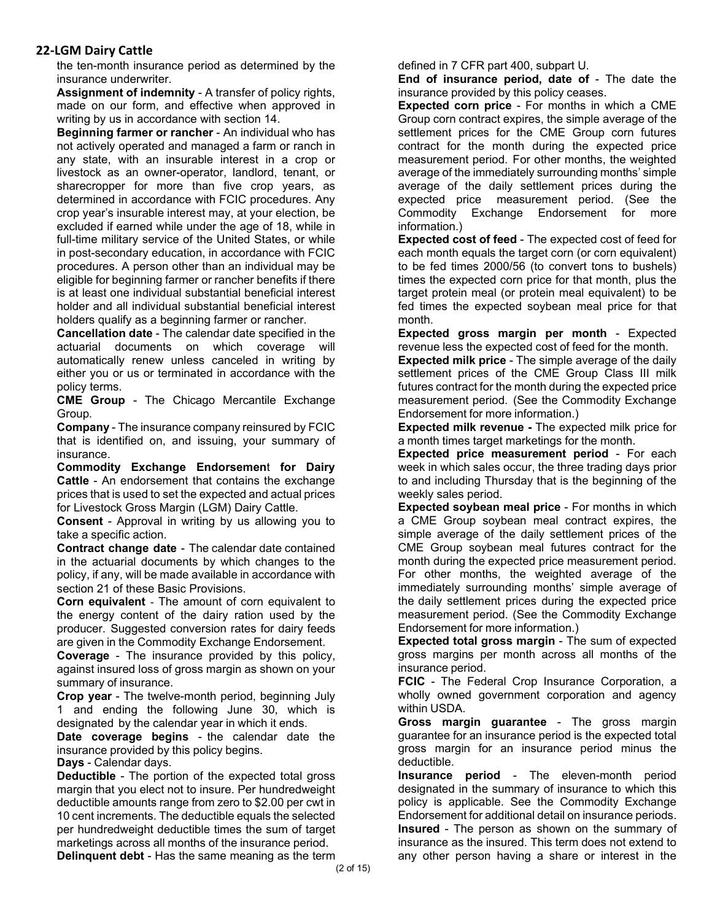the ten-month insurance period as determined by the insurance underwriter.

**Assignment of indemnity** - A transfer of policy rights, made on our form, and effective when approved in writing by us in accordance with section 14.

**Beginning farmer or rancher** - An individual who has not actively operated and managed a farm or ranch in any state, with an insurable interest in a crop or livestock as an owner-operator, landlord, tenant, or sharecropper for more than five crop years, as determined in accordance with FCIC procedures. Any crop year's insurable interest may, at your election, be excluded if earned while under the age of 18, while in full-time military service of the United States, or while in post-secondary education, in accordance with FCIC procedures. A person other than an individual may be eligible for beginning farmer or rancher benefits if there is at least one individual substantial beneficial interest holder and all individual substantial beneficial interest holders qualify as a beginning farmer or rancher.

**Cancellation date** - The calendar date specified in the actuarial documents on which coverage will automatically renew unless canceled in writing by either you or us or terminated in accordance with the policy terms.

**CME Group** - The Chicago Mercantile Exchange Group.

**Company** - The insurance company reinsured by FCIC that is identified on, and issuing, your summary of insurance.

**Commodity Exchange Endorsemen**t **for Dairy Cattle** - An endorsement that contains the exchange prices that is used to set the expected and actual prices for Livestock Gross Margin (LGM) Dairy Cattle.

**Consent** - Approval in writing by us allowing you to take a specific action.

**Contract change date** - The calendar date contained in the actuarial documents by which changes to the policy, if any, will be made available in accordance with section 21 of these Basic Provisions.

**Corn equivalent** - The amount of corn equivalent to the energy content of the dairy ration used by the producer. Suggested conversion rates for dairy feeds are given in the Commodity Exchange Endorsement.

**Coverage** - The insurance provided by this policy, against insured loss of gross margin as shown on your summary of insurance.

**Crop year** - The twelve-month period, beginning July 1 and ending the following June 30, which is designated by the calendar year in which it ends.

**Date coverage begins** - the calendar date the insurance provided by this policy begins.

**Days** - Calendar days.

**Deductible** - The portion of the expected total gross margin that you elect not to insure. Per hundredweight deductible amounts range from zero to \$2.00 per cwt in 10 cent increments. The deductible equals the selected per hundredweight deductible times the sum of target marketings across all months of the insurance period. **Delinquent debt** - Has the same meaning as the term defined in 7 CFR part 400, subpart U.

**End of insurance period, date of** - The date the insurance provided by this policy ceases.

**Expected corn price** - For months in which a CME Group corn contract expires, the simple average of the settlement prices for the CME Group corn futures contract for the month during the expected price measurement period. For other months, the weighted average of the immediately surrounding months' simple average of the daily settlement prices during the expected price measurement period. (See the Commodity Exchange Endorsement for more information.)

**Expected cost of feed** - The expected cost of feed for each month equals the target corn (or corn equivalent) to be fed times 2000/56 (to convert tons to bushels) times the expected corn price for that month, plus the target protein meal (or protein meal equivalent) to be fed times the expected soybean meal price for that month.

**Expected gross margin per month** - Expected revenue less the expected cost of feed for the month.

**Expected milk price** - The simple average of the daily settlement prices of the CME Group Class III milk futures contract for the month during the expected price measurement period. (See the Commodity Exchange Endorsement for more information.)

**Expected milk revenue -** The expected milk price for a month times target marketings for the month.

**Expected price measurement period** - For each week in which sales occur, the three trading days prior to and including Thursday that is the beginning of the weekly sales period.

**Expected soybean meal price** - For months in which a CME Group soybean meal contract expires, the simple average of the daily settlement prices of the CME Group soybean meal futures contract for the month during the expected price measurement period. For other months, the weighted average of the immediately surrounding months' simple average of the daily settlement prices during the expected price measurement period. (See the Commodity Exchange Endorsement for more information.)

**Expected total gross margin** - The sum of expected gross margins per month across all months of the insurance period.

**FCIC** - The Federal Crop Insurance Corporation, a wholly owned government corporation and agency within USDA.

**Gross margin guarantee** - The gross margin guarantee for an insurance period is the expected total gross margin for an insurance period minus the deductible.

**Insurance period** - The eleven-month period designated in the summary of insurance to which this policy is applicable. See the Commodity Exchange Endorsement for additional detail on insurance periods. **Insured** - The person as shown on the summary of insurance as the insured. This term does not extend to any other person having a share or interest in the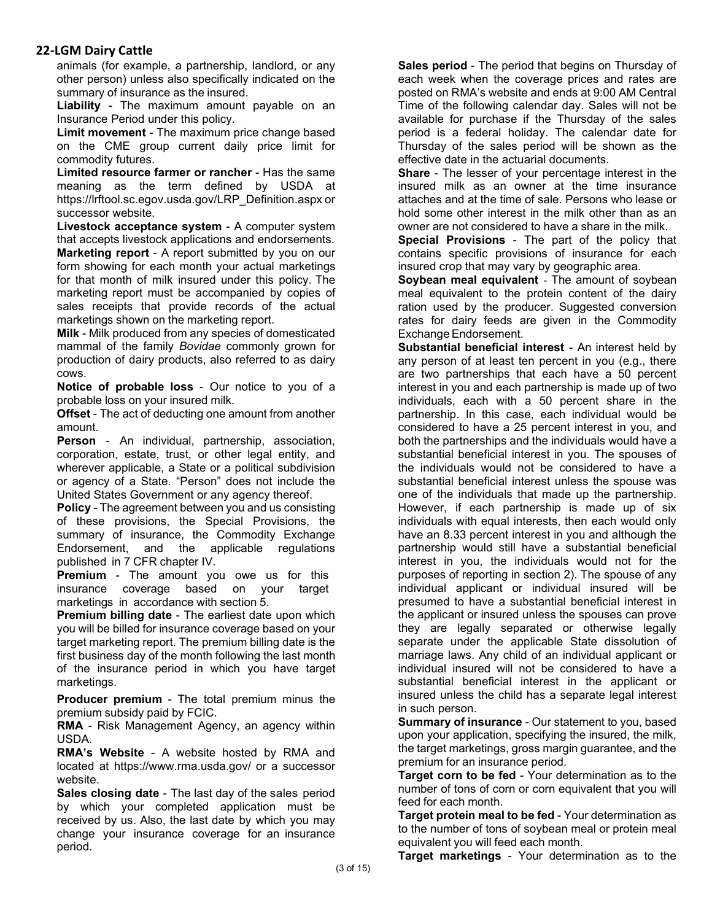animals (for example, a partnership, landlord, or any other person) unless also specifically indicated on the summary of insurance as the insured.

**Liability** - The maximum amount payable on an Insurance Period under this policy.

**Limit movement** - The maximum price change based on the CME group current daily price limit for commodity futures.

**Limited resource farmer or rancher** - Has the same meaning as the term defined by USDA at https://lrftool.sc.egov.usda.gov/LRP\_Definition.aspx or successor website.

**Livestock acceptance system** - A computer system that accepts livestock applications and endorsements.

**Marketing report** - A report submitted by you on our form showing for each month your actual marketings for that month of milk insured under this policy. The marketing report must be accompanied by copies of sales receipts that provide records of the actual marketings shown on the marketing report.

**Milk** - Milk produced from any species of domesticated mammal of the family *Bovidae* commonly grown for production of dairy products, also referred to as dairy cows.

**Notice of probable loss** - Our notice to you of a probable loss on your insured milk.

**Offset** - The act of deducting one amount from another amount.

**Person** - An individual, partnership, association, corporation, estate, trust, or other legal entity, and wherever applicable, a State or a political subdivision or agency of a State. "Person" does not include the United States Government or any agency thereof.

**Policy** - The agreement between you and us consisting of these provisions, the Special Provisions, the summary of insurance, the Commodity Exchange Endorsement, and the applicable regulations published in 7 CFR chapter IV.

**Premium** - The amount you owe us for this insurance coverage based on your target marketings in accordance with section 5.

**Premium billing date** - The earliest date upon which you will be billed for insurance coverage based on your target marketing report. The premium billing date is the first business day of the month following the last month of the insurance period in which you have target marketings.

**Producer premium** - The total premium minus the premium subsidy paid by FCIC.

**RMA** - Risk Management Agency, an agency within USDA.

**RMA's Website** - A website hosted by RMA and located at https://www.rma.usda.gov/ or a successor website.

**Sales closing date** - The last day of the sales period by which your completed application must be received by us. Also, the last date by which you may change your insurance coverage for an insurance period.

**Sales period** - The period that begins on Thursday of each week when the coverage prices and rates are posted on RMA's website and ends at 9:00 AM Central Time of the following calendar day. Sales will not be available for purchase if the Thursday of the sales period is a federal holiday. The calendar date for Thursday of the sales period will be shown as the effective date in the actuarial documents.

**Share** - The lesser of your percentage interest in the insured milk as an owner at the time insurance attaches and at the time of sale. Persons who lease or hold some other interest in the milk other than as an owner are not considered to have a share in the milk.

**Special Provisions** - The part of the policy that contains specific provisions of insurance for each insured crop that may vary by geographic area.

**Soybean meal equivalent** - The amount of soybean meal equivalent to the protein content of the dairy ration used by the producer. Suggested conversion rates for dairy feeds are given in the Commodity Exchange Endorsement.

**Substantial beneficial interest** - An interest held by any person of at least ten percent in you (e.g., there are two partnerships that each have a 50 percent interest in you and each partnership is made up of two individuals, each with a 50 percent share in the partnership. In this case, each individual would be considered to have a 25 percent interest in you, and both the partnerships and the individuals would have a substantial beneficial interest in you. The spouses of the individuals would not be considered to have a substantial beneficial interest unless the spouse was one of the individuals that made up the partnership. However, if each partnership is made up of six individuals with equal interests, then each would only have an 8.33 percent interest in you and although the partnership would still have a substantial beneficial interest in you, the individuals would not for the purposes of reporting in section 2). The spouse of any individual applicant or individual insured will be presumed to have a substantial beneficial interest in the applicant or insured unless the spouses can prove they are legally separated or otherwise legally separate under the applicable State dissolution of marriage laws. Any child of an individual applicant or individual insured will not be considered to have a substantial beneficial interest in the applicant or insured unless the child has a separate legal interest in such person.

**Summary of insurance** - Our statement to you, based upon your application, specifying the insured, the milk, the target marketings, gross margin guarantee, and the premium for an insurance period.

**Target corn to be fed** - Your determination as to the number of tons of corn or corn equivalent that you will feed for each month.

**Target protein meal to be fed** - Your determination as to the number of tons of soybean meal or protein meal equivalent you will feed each month.

**Target marketings** - Your determination as to the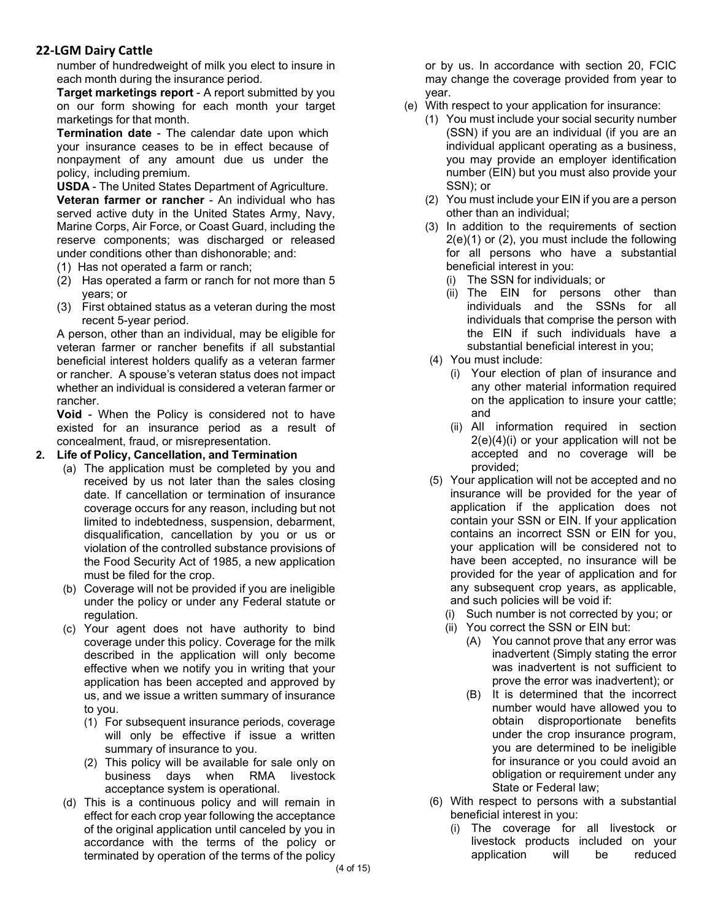number of hundredweight of milk you elect to insure in each month during the insurance period.

**Target marketings report** - A report submitted by you on our form showing for each month your target marketings for that month.

**Termination date** - The calendar date upon which your insurance ceases to be in effect because of nonpayment of any amount due us under the policy, including premium.

**USDA** - The United States Department of Agriculture. **Veteran farmer or rancher** - An individual who has served active duty in the United States Army, Navy, Marine Corps, Air Force, or Coast Guard, including the reserve components; was discharged or released under conditions other than dishonorable; and:

- (1) Has not operated a farm or ranch;
- (2) Has operated a farm or ranch for not more than 5 years; or
- (3) First obtained status as a veteran during the most recent 5-year period.

A person, other than an individual, may be eligible for veteran farmer or rancher benefits if all substantial beneficial interest holders qualify as a veteran farmer or rancher. A spouse's veteran status does not impact whether an individual is considered a veteran farmer or rancher.

**Void** - When the Policy is considered not to have existed for an insurance period as a result of concealment, fraud, or misrepresentation.

#### **2. Life of Policy, Cancellation, and Termination**

- (a) The application must be completed by you and received by us not later than the sales closing date. If cancellation or termination of insurance coverage occurs for any reason, including but not limited to indebtedness, suspension, debarment, disqualification, cancellation by you or us or violation of the controlled substance provisions of the Food Security Act of 1985, a new application must be filed for the crop.
- (b) Coverage will not be provided if you are ineligible under the policy or under any Federal statute or regulation.
- (c) Your agent does not have authority to bind coverage under this policy. Coverage for the milk described in the application will only become effective when we notify you in writing that your application has been accepted and approved by us, and we issue a written summary of insurance to you.
	- (1) For subsequent insurance periods, coverage will only be effective if issue a written summary of insurance to you.
	- (2) This policy will be available for sale only on business days when RMA livestock acceptance system is operational.
- (d) This is a continuous policy and will remain in effect for each crop year following the acceptance of the original application until canceled by you in accordance with the terms of the policy or terminated by operation of the terms of the policy

or by us. In accordance with section 20, FCIC may change the coverage provided from year to year.

- (e) With respect to your application for insurance:
	- (1) You must include your social security number (SSN) if you are an individual (if you are an individual applicant operating as a business, you may provide an employer identification number (EIN) but you must also provide your SSN); or
	- (2) You must include your EIN if you are a person other than an individual;
	- (3) In addition to the requirements of section 2(e)(1) or (2), you must include the following for all persons who have a substantial beneficial interest in you:
		- (i) The SSN for individuals; or
		- (ii) The EIN for persons other than individuals and the SSNs for all individuals that comprise the person with the EIN if such individuals have a substantial beneficial interest in you;
	- (4) You must include:
		- (i) Your election of plan of insurance and any other material information required on the application to insure your cattle; and
		- (ii) All information required in section 2(e)(4)(i) or your application will not be accepted and no coverage will be provided;
	- (5) Your application will not be accepted and no insurance will be provided for the year of application if the application does not contain your SSN or EIN. If your application contains an incorrect SSN or EIN for you, your application will be considered not to have been accepted, no insurance will be provided for the year of application and for any subsequent crop years, as applicable, and such policies will be void if:
		- (i) Such number is not corrected by you; or
		- (ii) You correct the SSN or EIN but:
			- (A) You cannot prove that any error was inadvertent (Simply stating the error was inadvertent is not sufficient to prove the error was inadvertent); or
			- (B) It is determined that the incorrect number would have allowed you to obtain disproportionate benefits under the crop insurance program, you are determined to be ineligible for insurance or you could avoid an obligation or requirement under any State or Federal law;
	- (6) With respect to persons with a substantial beneficial interest in you:
		- (i) The coverage for all livestock or livestock products included on your application will be reduced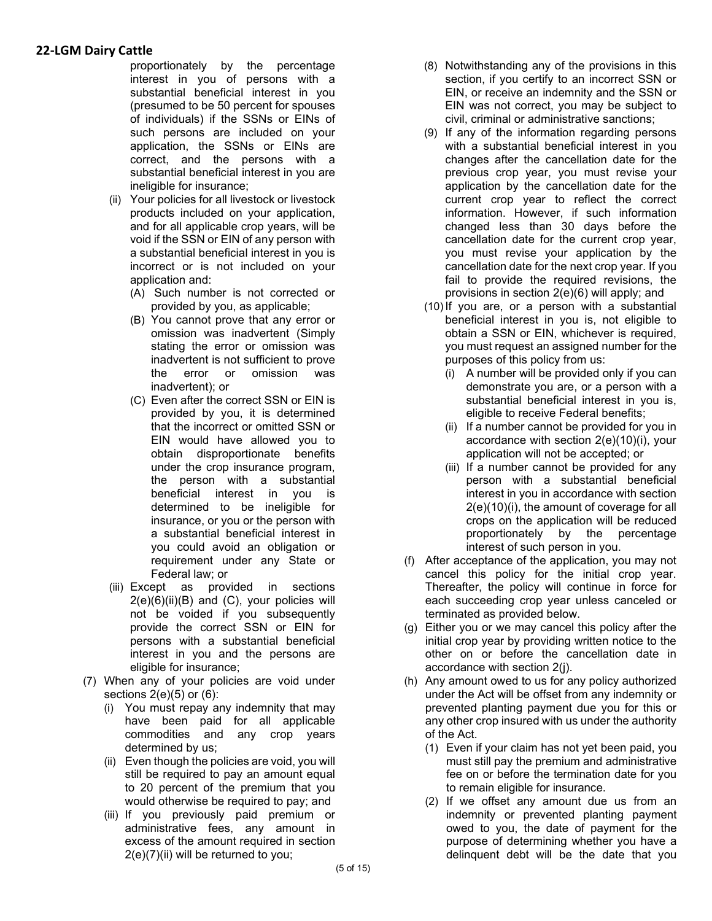proportionately by the percentage interest in you of persons with a substantial beneficial interest in you (presumed to be 50 percent for spouses of individuals) if the SSNs or EINs of such persons are included on your application, the SSNs or EINs are correct, and the persons with a substantial beneficial interest in you are ineligible for insurance;

- (ii) Your policies for all livestock or livestock products included on your application, and for all applicable crop years, will be void if the SSN or EIN of any person with a substantial beneficial interest in you is incorrect or is not included on your application and:
	- (A) Such number is not corrected or provided by you, as applicable;
	- (B) You cannot prove that any error or omission was inadvertent (Simply stating the error or omission was inadvertent is not sufficient to prove the error or omission was inadvertent); or
	- (C) Even after the correct SSN or EIN is provided by you, it is determined that the incorrect or omitted SSN or EIN would have allowed you to obtain disproportionate benefits under the crop insurance program, the person with a substantial beneficial interest in you is determined to be ineligible for insurance, or you or the person with a substantial beneficial interest in you could avoid an obligation or requirement under any State or Federal law; or
- (iii) Except as provided in sections  $2(e)(6)(ii)(B)$  and  $(C)$ , your policies will not be voided if you subsequently provide the correct SSN or EIN for persons with a substantial beneficial interest in you and the persons are eligible for insurance;
- (7) When any of your policies are void under sections  $2(e)(5)$  or  $(6)$ :
	- (i) You must repay any indemnity that may have been paid for all applicable commodities and any crop years determined by us;
	- (ii) Even though the policies are void, you will still be required to pay an amount equal to 20 percent of the premium that you would otherwise be required to pay; and
	- (iii) If you previously paid premium or administrative fees, any amount in excess of the amount required in section 2(e)(7)(ii) will be returned to you;
- (8) Notwithstanding any of the provisions in this section, if you certify to an incorrect SSN or EIN, or receive an indemnity and the SSN or EIN was not correct, you may be subject to civil, criminal or administrative sanctions;
- (9) If any of the information regarding persons with a substantial beneficial interest in you changes after the cancellation date for the previous crop year, you must revise your application by the cancellation date for the current crop year to reflect the correct information. However, if such information changed less than 30 days before the cancellation date for the current crop year, you must revise your application by the cancellation date for the next crop year. If you fail to provide the required revisions, the provisions in section 2(e)(6) will apply; and
- (10) If you are, or a person with a substantial beneficial interest in you is, not eligible to obtain a SSN or EIN, whichever is required, you must request an assigned number for the purposes of this policy from us:
	- (i) A number will be provided only if you can demonstrate you are, or a person with a substantial beneficial interest in you is, eligible to receive Federal benefits;
	- (ii) If a number cannot be provided for you in accordance with section 2(e)(10)(i), your application will not be accepted; or
	- (iii) If a number cannot be provided for any person with a substantial beneficial interest in you in accordance with section 2(e)(10)(i), the amount of coverage for all crops on the application will be reduced proportionately by the percentage interest of such person in you.
- (f) After acceptance of the application, you may not cancel this policy for the initial crop year. Thereafter, the policy will continue in force for each succeeding crop year unless canceled or terminated as provided below.
- (g) Either you or we may cancel this policy after the initial crop year by providing written notice to the other on or before the cancellation date in accordance with section 2(j).
- (h) Any amount owed to us for any policy authorized under the Act will be offset from any indemnity or prevented planting payment due you for this or any other crop insured with us under the authority of the Act.
	- (1) Even if your claim has not yet been paid, you must still pay the premium and administrative fee on or before the termination date for you to remain eligible for insurance.
	- (2) If we offset any amount due us from an indemnity or prevented planting payment owed to you, the date of payment for the purpose of determining whether you have a delinquent debt will be the date that you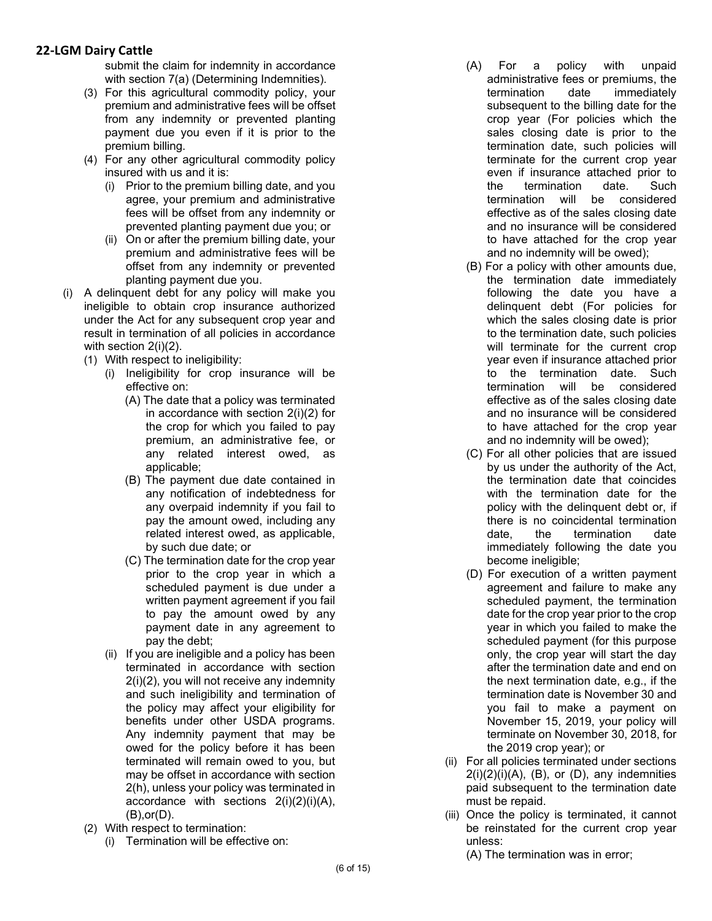submit the claim for indemnity in accordance with section 7(a) (Determining Indemnities).

- (3) For this agricultural commodity policy, your premium and administrative fees will be offset from any indemnity or prevented planting payment due you even if it is prior to the premium billing.
- (4) For any other agricultural commodity policy insured with us and it is:
	- (i) Prior to the premium billing date, and you agree, your premium and administrative fees will be offset from any indemnity or prevented planting payment due you; or
	- (ii) On or after the premium billing date, your premium and administrative fees will be offset from any indemnity or prevented planting payment due you.
- (i) A delinquent debt for any policy will make you ineligible to obtain crop insurance authorized under the Act for any subsequent crop year and result in termination of all policies in accordance with section 2(i)(2).
	- (1) With respect to ineligibility:
		- (i) Ineligibility for crop insurance will be effective on:
			- (A) The date that a policy was terminated in accordance with section 2(i)(2) for the crop for which you failed to pay premium, an administrative fee, or any related interest owed, as applicable;
			- (B) The payment due date contained in any notification of indebtedness for any overpaid indemnity if you fail to pay the amount owed, including any related interest owed, as applicable, by such due date; or
			- (C) The termination date for the crop year prior to the crop year in which a scheduled payment is due under a written payment agreement if you fail to pay the amount owed by any payment date in any agreement to pay the debt;
		- (ii) If you are ineligible and a policy has been terminated in accordance with section 2(i)(2), you will not receive any indemnity and such ineligibility and termination of the policy may affect your eligibility for benefits under other USDA programs. Any indemnity payment that may be owed for the policy before it has been terminated will remain owed to you, but may be offset in accordance with section 2(h), unless your policy was terminated in accordance with sections 2(i)(2)(i)(A), (B),or(D).
	- (2) With respect to termination:
		- (i) Termination will be effective on:
- (A) For a policy with unpaid administrative fees or premiums, the termination date immediately subsequent to the billing date for the crop year (For policies which the sales closing date is prior to the termination date, such policies will terminate for the current crop year even if insurance attached prior to the termination date. Such termination will be considered effective as of the sales closing date and no insurance will be considered to have attached for the crop year and no indemnity will be owed);
- (B) For a policy with other amounts due, the termination date immediately following the date you have a delinquent debt (For policies for which the sales closing date is prior to the termination date, such policies will terminate for the current crop year even if insurance attached prior to the termination date. Such termination will be considered effective as of the sales closing date and no insurance will be considered to have attached for the crop year and no indemnity will be owed);
- (C) For all other policies that are issued by us under the authority of the Act, the termination date that coincides with the termination date for the policy with the delinquent debt or, if there is no coincidental termination date, the termination date immediately following the date you become ineligible;
- (D) For execution of a written payment agreement and failure to make any scheduled payment, the termination date for the crop year prior to the crop year in which you failed to make the scheduled payment (for this purpose only, the crop year will start the day after the termination date and end on the next termination date, e.g., if the termination date is November 30 and you fail to make a payment on November 15, 2019, your policy will terminate on November 30, 2018, for the 2019 crop year); or
- (ii) For all policies terminated under sections  $2(i)(2)(i)(A)$ ,  $(B)$ , or  $(D)$ , any indemnities paid subsequent to the termination date must be repaid.
- (iii) Once the policy is terminated, it cannot be reinstated for the current crop year unless:

(A) The termination was in error;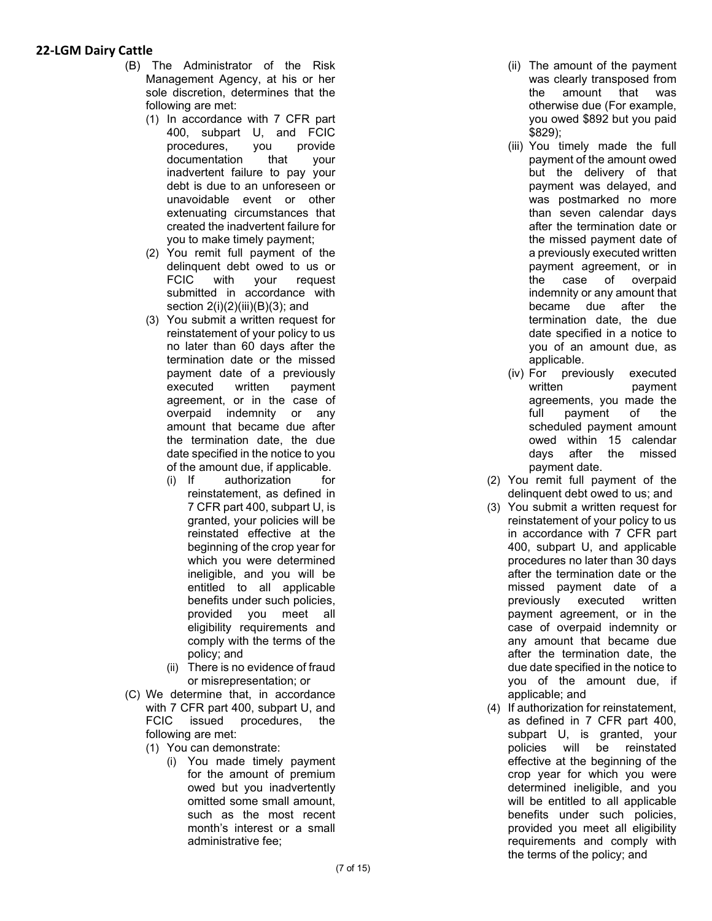- (B) The Administrator of the Risk Management Agency, at his or her sole discretion, determines that th e following are met:
	- (1) In accordance with 7 CFR part 400, subpart U, and FCIC procedures, you provide documentation that your inadvertent failure to pay your debt is due to an unforeseen or unavoidable event or other extenuating circumstances that created the inadvertent failure for you to make timely payment;
	- (2) You remit full payment of the delinquent debt owed to us or FCIC with your request submitted in accordance with section  $2(i)(2)(iii)(B)(3)$ ; and
	- (3) You submit a written request for reinstatement of your policy to us no later than 60 days after the termination date or the missed payment date of a previously executed written payment agreement, or in the case of overpaid indemnity or any amount that became due after the termination date, the due date specified in the notice to you of the amount due, if applicable.<br>(i) If authorization for
		- authorization for reinstatement, as defined in 7 CFR part 400, subpart U, is granted, your policies will be reinstated effective at the beginning of the crop year for which you were determined ineligible, and you will be entitled to all applicable benefits under such policies, provided you meet all eligibility requirements and comply with the terms of the policy; and
		- (ii) There is no evidence of frau d or misrepresentation; or
- (C) We determine that, in accordanc e with 7 CFR part 400, subpart U, and FCIC issued procedures, the following are met:
	- (1) You can demonstrate:
		- (i) You made timely payment for the amount of premiu m owed but you inadvertently omitted some small amount, such as the most recent month's interest or a small administrative fee;
- (ii) The amount of the payment was clearly transposed fro m the amount that was otherwise due (For example, you owed \$892 but you pai d \$829) ;
- (iii) You timely made the full payment of the amount owe d but the delivery of that payment was delayed, an d was postmarked no mor e than seven calendar days after the termination date or the missed payment date of a previously executed writte n payment agreement, or i n the case of overpai d indemnity or any amount that became due after th e termination date, the du e date specified in a notice t o you of an amount due, as applicable.
- (iv) For previously executed written **payment** agreements, you made th e full payment of the scheduled payment amount owed within 15 calendar days after the misse d payment date.
- (2) You remit full payment of the delinquent debt owed to us; and
- (3) You submit a written request for reinstatement of your policy to us in accordance with 7 CFR part 400, subpart U, and applicable procedures no later than 30 days after the termination date or the missed payment date of a previously executed written payment agreement, or in the case of overpaid indemnity or any amount that became due after the termination date, the due date specified in the notice to you of the amount due, if applicable; and
- (4) If authorization for reinstatement, as defined in 7 CFR part 400, subpart U, is granted, your policies will be reinstated effective at the beginning of th e crop year for which you wer e determined ineligible, and you will be entitled to all applicable benefits under such policies, provided you meet all eligibility requirements and comply with the terms of the policy; and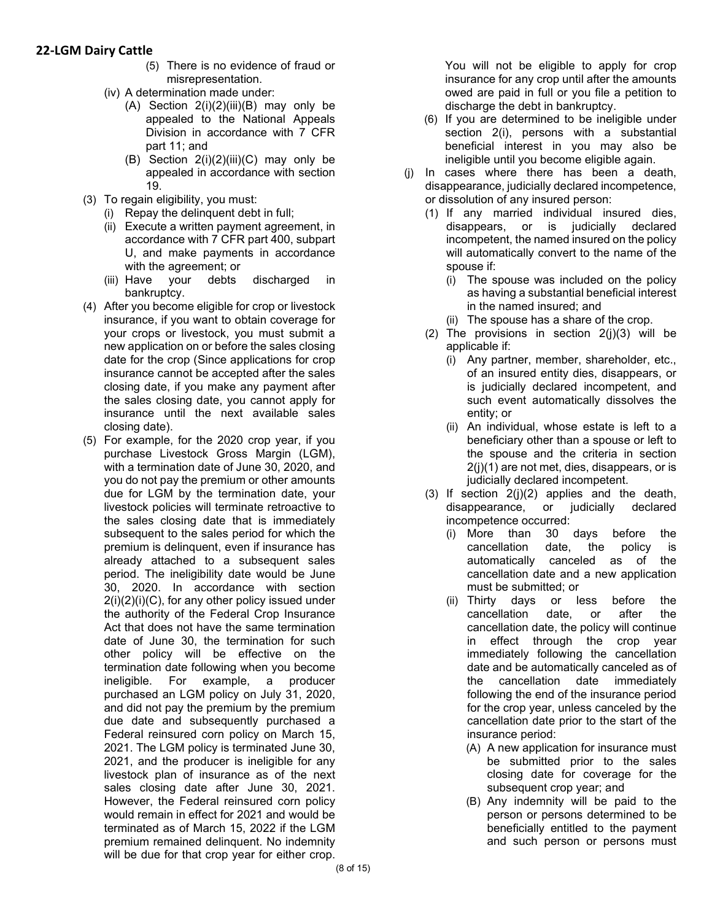- (5) There is no evidence of fraud or misrepresentation.
- (iv) A determination made under:
	- (A) Section 2(i)(2)(iii)(B) may only be appealed to the National Appeals Division in accordance with 7 CFR part 11; and
	- (B) Section  $2(i)(2)(iii)(C)$  may only be appealed in accordance with section 19.
- (3) To regain eligibility, you must:
	- (i) Repay the delinquent debt in full;
	- (ii) Execute a written payment agreement, in accordance with 7 CFR part 400, subpart U, and make payments in accordance with the agreement; or
	- (iii) Have your debts discharged in bankruptcy.
- (4) After you become eligible for crop or livestock insurance, if you want to obtain coverage for your crops or livestock, you must submit a new application on or before the sales closing date for the crop (Since applications for crop insurance cannot be accepted after the sales closing date, if you make any payment after the sales closing date, you cannot apply for insurance until the next available sales closing date).
- (5) For example, for the 2020 crop year, if you purchase Livestock Gross Margin (LGM), with a termination date of June 30, 2020, and you do not pay the premium or other amounts due for LGM by the termination date, your livestock policies will terminate retroactive to the sales closing date that is immediately subsequent to the sales period for which the premium is delinquent, even if insurance has already attached to a subsequent sales period. The ineligibility date would be June 30, 2020. In accordance with section 2(i)(2)(i)(C), for any other policy issued under the authority of the Federal Crop Insurance Act that does not have the same termination date of June 30, the termination for such other policy will be effective on the termination date following when you become ineligible. For example, a producer purchased an LGM policy on July 31, 2020, and did not pay the premium by the premium due date and subsequently purchased a Federal reinsured corn policy on March 15, 2021. The LGM policy is terminated June 30, 2021, and the producer is ineligible for any livestock plan of insurance as of the next sales closing date after June 30, 2021. However, the Federal reinsured corn policy would remain in effect for 2021 and would be terminated as of March 15, 2022 if the LGM premium remained delinquent. No indemnity will be due for that crop year for either crop.

You will not be eligible to apply for crop insurance for any crop until after the amounts owed are paid in full or you file a petition to discharge the debt in bankruptcy.

- (6) If you are determined to be ineligible under section 2(i), persons with a substantial beneficial interest in you may also be ineligible until you become eligible again.
- (j) In cases where there has been a death, disappearance, judicially declared incompetence, or dissolution of any insured person:
	- (1) If any married individual insured dies, disappears, or is judicially declared incompetent, the named insured on the policy will automatically convert to the name of the spouse if:
		- (i) The spouse was included on the policy as having a substantial beneficial interest in the named insured; and
		- (ii) The spouse has a share of the crop.
	- (2) The provisions in section  $2(j)(3)$  will be applicable if:
		- (i) Any partner, member, shareholder, etc., of an insured entity dies, disappears, or is judicially declared incompetent, and such event automatically dissolves the entity; or
		- (ii) An individual, whose estate is left to a beneficiary other than a spouse or left to the spouse and the criteria in section 2(j)(1) are not met, dies, disappears, or is judicially declared incompetent.
	- (3) If section 2(j)(2) applies and the death, disappearance, or judicially declared incompetence occurred:
		- (i) More than 30 days before the cancellation date, the policy is automatically canceled as of the cancellation date and a new application must be submitted; or
		- (ii) Thirty days or less before the cancellation date, or after the cancellation date, the policy will continue in effect through the crop year immediately following the cancellation date and be automatically canceled as of the cancellation date immediately following the end of the insurance period for the crop year, unless canceled by the cancellation date prior to the start of the insurance period:
			- (A) A new application for insurance must be submitted prior to the sales closing date for coverage for the subsequent crop year; and
			- (B) Any indemnity will be paid to the person or persons determined to be beneficially entitled to the payment and such person or persons must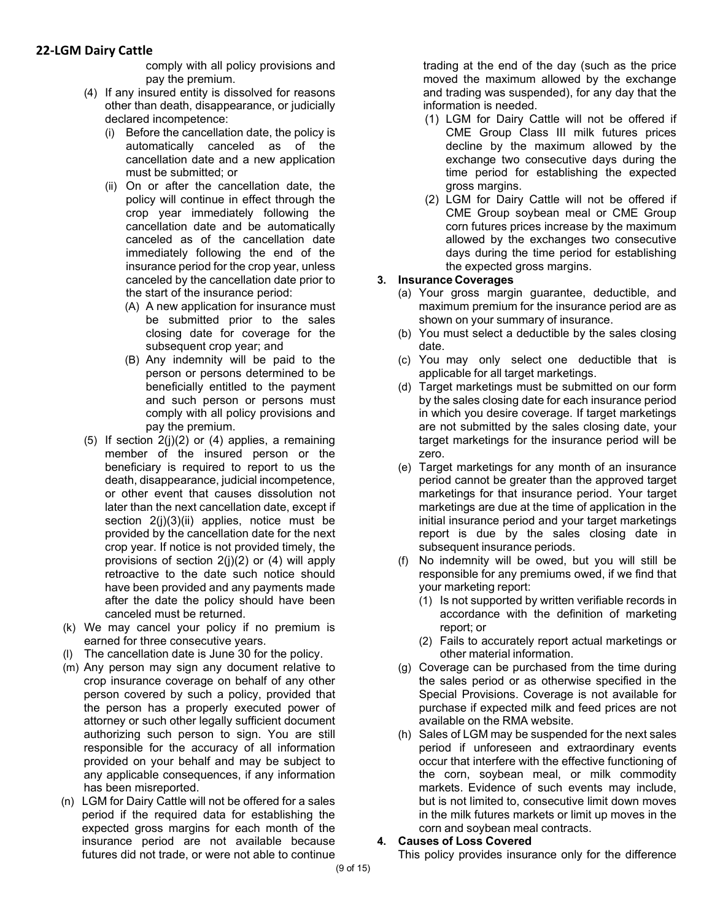comply with all policy provisions and pay the premium.

- (4) If any insured entity is dissolved for reasons other than death, disappearance, or judicially declared incompetence:
	- (i) Before the cancellation date, the policy is automatically canceled as of the cancellation date and a new application must be submitted; or
	- (ii) On or after the cancellation date, the policy will continue in effect through the crop year immediately following the cancellation date and be automatically canceled as of the cancellation date immediately following the end of the insurance period for the crop year, unless canceled by the cancellation date prior to the start of the insurance period:
		- (A) A new application for insurance must be submitted prior to the sales closing date for coverage for the subsequent crop year; and
		- (B) Any indemnity will be paid to the person or persons determined to be beneficially entitled to the payment and such person or persons must comply with all policy provisions and pay the premium.
- (5) If section  $2(j)(2)$  or (4) applies, a remaining member of the insured person or the beneficiary is required to report to us the death, disappearance, judicial incompetence, or other event that causes dissolution not later than the next cancellation date, except if section 2(j)(3)(ii) applies, notice must be provided by the cancellation date for the next crop year. If notice is not provided timely, the provisions of section 2(j)(2) or (4) will apply retroactive to the date such notice should have been provided and any payments made after the date the policy should have been canceled must be returned.
- (k) We may cancel your policy if no premium is earned for three consecutive years.
- (l) The cancellation date is June 30 for the policy.
- (m) Any person may sign any document relative to crop insurance coverage on behalf of any other person covered by such a policy, provided that the person has a properly executed power of attorney or such other legally sufficient document authorizing such person to sign. You are still responsible for the accuracy of all information provided on your behalf and may be subject to any applicable consequences, if any information has been misreported.
- (n) LGM for Dairy Cattle will not be offered for a sales period if the required data for establishing the expected gross margins for each month of the insurance period are not available because futures did not trade, or were not able to continue

trading at the end of the day (such as the price moved the maximum allowed by the exchange and trading was suspended), for any day that the information is needed.

- (1) LGM for Dairy Cattle will not be offered if CME Group Class III milk futures prices decline by the maximum allowed by the exchange two consecutive days during the time period for establishing the expected gross margins.
- (2) LGM for Dairy Cattle will not be offered if CME Group soybean meal or CME Group corn futures prices increase by the maximum allowed by the exchanges two consecutive days during the time period for establishing the expected gross margins.

### **3. Insurance Coverages**

- (a) Your gross margin guarantee, deductible, and maximum premium for the insurance period are as shown on your summary of insurance.
- (b) You must select a deductible by the sales closing date.
- (c) You may only select one deductible that is applicable for all target marketings.
- (d) Target marketings must be submitted on our form by the sales closing date for each insurance period in which you desire coverage. If target marketings are not submitted by the sales closing date, your target marketings for the insurance period will be zero.
- (e) Target marketings for any month of an insurance period cannot be greater than the approved target marketings for that insurance period. Your target marketings are due at the time of application in the initial insurance period and your target marketings report is due by the sales closing date in subsequent insurance periods.
- (f) No indemnity will be owed, but you will still be responsible for any premiums owed, if we find that your marketing report:
	- (1) Is not supported by written verifiable records in accordance with the definition of marketing report; or
	- (2) Fails to accurately report actual marketings or other material information.
- (g) Coverage can be purchased from the time during the sales period or as otherwise specified in the Special Provisions. Coverage is not available for purchase if expected milk and feed prices are not available on the RMA website.
- (h) Sales of LGM may be suspended for the next sales period if unforeseen and extraordinary events occur that interfere with the effective functioning of the corn, soybean meal, or milk commodity markets. Evidence of such events may include, but is not limited to, consecutive limit down moves in the milk futures markets or limit up moves in the corn and soybean meal contracts.

### **4. Causes of Loss Covered**

This policy provides insurance only for the difference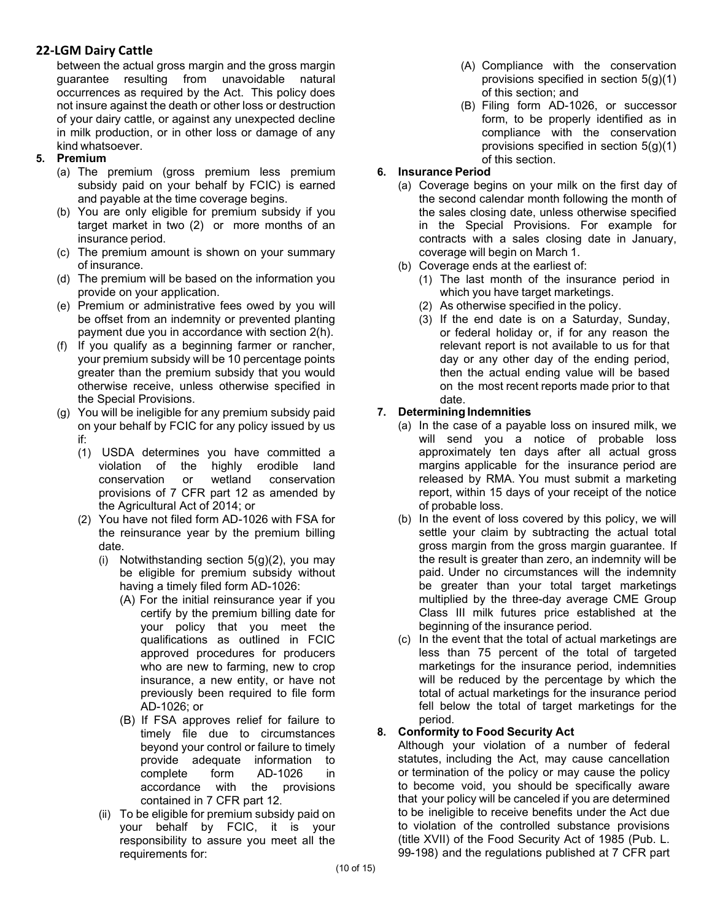between the actual gross margin and the gross margin guarantee resulting from unavoidable natural occurrences as required by the Act. This policy does not insure against the death or other loss or destruction of your dairy cattle, or against any unexpected decline in milk production, or in other loss or damage of any kind whatsoever.

- **5. Premium**
	- (a) The premium (gross premium less premium subsidy paid on your behalf by FCIC) is earned and payable at the time coverage begins.
	- (b) You are only eligible for premium subsidy if you target market in two (2) or more months of an insurance period.
	- (c) The premium amount is shown on your summary of insurance.
	- (d) The premium will be based on the information you provide on your application.
	- (e) Premium or administrative fees owed by you will be offset from an indemnity or prevented planting payment due you in accordance with section 2(h).
	- (f) If you qualify as a beginning farmer or rancher, your premium subsidy will be 10 percentage points greater than the premium subsidy that you would otherwise receive, unless otherwise specified in the Special Provisions.
	- (g) You will be ineligible for any premium subsidy paid on your behalf by FCIC for any policy issued by us if:
		- (1) USDA determines you have committed a violation of the highly erodible land<br>conservation or wetland conservation conservation or wetland conservation provisions of 7 CFR part 12 as amended by the Agricultural Act of 2014; or
		- (2) You have not filed form AD-1026 with FSA for the reinsurance year by the premium billing date.
			- (i) Notwithstanding section  $5(g)(2)$ , you may be eligible for premium subsidy without having a timely filed form AD-1026:
				- (A) For the initial reinsurance year if you certify by the premium billing date for your policy that you meet the qualifications as outlined in FCIC approved procedures for producers who are new to farming, new to crop insurance, a new entity, or have not previously been required to file form AD-1026; or
				- (B) If FSA approves relief for failure to timely file due to circumstances beyond your control or failure to timely provide adequate information to complete form AD-1026 in accordance with the provisions contained in 7 CFR part 12.
			- (ii) To be eligible for premium subsidy paid on your behalf by FCIC, it is your responsibility to assure you meet all the requirements for:
- (A) Compliance with the conservation provisions specified in section 5(g)(1) of this section; and
- (B) Filing form AD-1026, or successor form, to be properly identified as in compliance with the conservation provisions specified in section 5(g)(1) of this section.

### **6. Insurance Period**

- (a) Coverage begins on your milk on the first day of the second calendar month following the month of the sales closing date, unless otherwise specified in the Special Provisions. For example for contracts with a sales closing date in January, coverage will begin on March 1.
- (b) Coverage ends at the earliest of:
	- (1) The last month of the insurance period in which you have target marketings.
	- (2) As otherwise specified in the policy.
	- (3) If the end date is on a Saturday, Sunday, or federal holiday or, if for any reason the relevant report is not available to us for that day or any other day of the ending period, then the actual ending value will be based on the most recent reports made prior to that date.

# **7. Determining Indemnities**

- (a) In the case of a payable loss on insured milk, we will send you a notice of probable loss approximately ten days after all actual gross margins applicable for the insurance period are released by RMA. You must submit a marketing report, within 15 days of your receipt of the notice of probable loss.
- (b) In the event of loss covered by this policy, we will settle your claim by subtracting the actual total gross margin from the gross margin guarantee. If the result is greater than zero, an indemnity will be paid. Under no circumstances will the indemnity be greater than your total target marketings multiplied by the three-day average CME Group Class III milk futures price established at the beginning of the insurance period.
- (c) In the event that the total of actual marketings are less than 75 percent of the total of targeted marketings for the insurance period, indemnities will be reduced by the percentage by which the total of actual marketings for the insurance period fell below the total of target marketings for the period.

# **8. Conformity to Food Security Act**

Although your violation of a number of federal statutes, including the Act, may cause cancellation or termination of the policy or may cause the policy to become void, you should be specifically aware that your policy will be canceled if you are determined to be ineligible to receive benefits under the Act due to violation of the controlled substance provisions (title XVII) of the Food Security Act of 1985 (Pub. L. 99-198) and the regulations published at 7 CFR part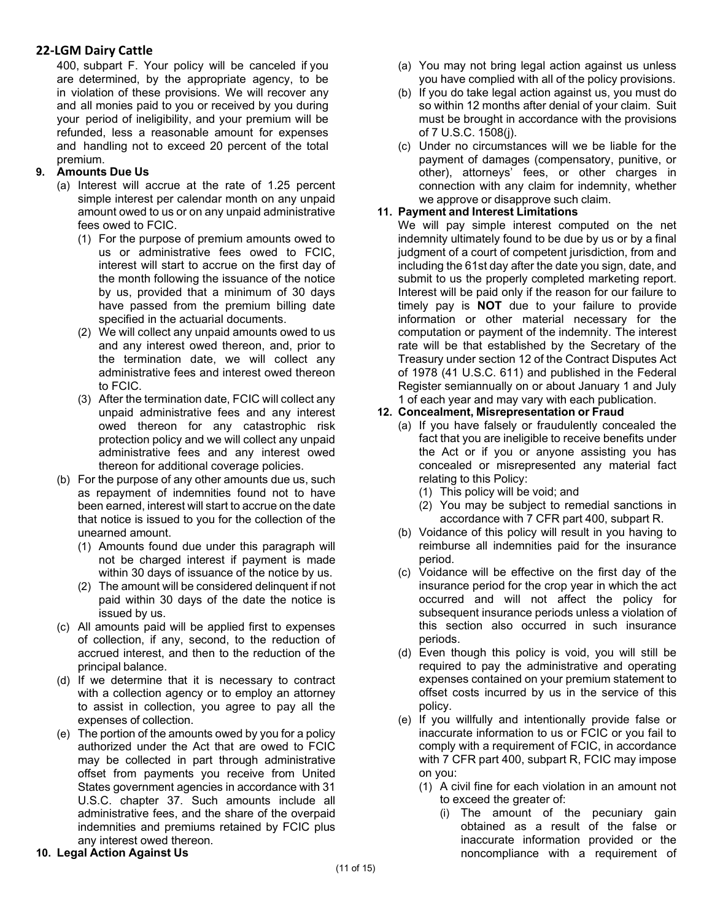400, subpart F. Your policy will be canceled if you are determined, by the appropriate agency, to be in violation of these provisions. We will recover any and all monies paid to you or received by you during your period of ineligibility, and your premium will be refunded, less a reasonable amount for expenses and handling not to exceed 20 percent of the total premium.

### **9. Amounts Due Us**

- (a) Interest will accrue at the rate of 1.25 percent simple interest per calendar month on any unpaid amount owed to us or on any unpaid administrative fees owed to FCIC.
	- (1) For the purpose of premium amounts owed to us or administrative fees owed to FCIC, interest will start to accrue on the first day of the month following the issuance of the notice by us, provided that a minimum of 30 days have passed from the premium billing date specified in the actuarial documents.
	- (2) We will collect any unpaid amounts owed to us and any interest owed thereon, and, prior to the termination date, we will collect any administrative fees and interest owed thereon to FCIC.
	- (3) After the termination date, FCIC will collect any unpaid administrative fees and any interest owed thereon for any catastrophic risk protection policy and we will collect any unpaid administrative fees and any interest owed thereon for additional coverage policies.
- (b) For the purpose of any other amounts due us, such as repayment of indemnities found not to have been earned, interest will start to accrue on the date that notice is issued to you for the collection of the unearned amount.
	- (1) Amounts found due under this paragraph will not be charged interest if payment is made within 30 days of issuance of the notice by us.
	- (2) The amount will be considered delinquent if not paid within 30 days of the date the notice is issued by us.
- (c) All amounts paid will be applied first to expenses of collection, if any, second, to the reduction of accrued interest, and then to the reduction of the principal balance.
- (d) If we determine that it is necessary to contract with a collection agency or to employ an attorney to assist in collection, you agree to pay all the expenses of collection.
- (e) The portion of the amounts owed by you for a policy authorized under the Act that are owed to FCIC may be collected in part through administrative offset from payments you receive from United States government agencies in accordance with 31 U.S.C. chapter 37. Such amounts include all administrative fees, and the share of the overpaid indemnities and premiums retained by FCIC plus any interest owed thereon.

### **10. Legal Action Against Us**

- (a) You may not bring legal action against us unless you have complied with all of the policy provisions.
- (b) If you do take legal action against us, you must do so within 12 months after denial of your claim. Suit must be brought in accordance with the provisions of 7 U.S.C. 1508(j).
- (c) Under no circumstances will we be liable for the payment of damages (compensatory, punitive, or other), attorneys' fees, or other charges in connection with any claim for indemnity, whether we approve or disapprove such claim.

#### **11. Payment and Interest Limitations**

We will pay simple interest computed on the net indemnity ultimately found to be due by us or by a final judgment of a court of competent jurisdiction, from and including the 61st day after the date you sign, date, and submit to us the properly completed marketing report. Interest will be paid only if the reason for our failure to timely pay is **NOT** due to your failure to provide information or other material necessary for the computation or payment of the indemnity. The interest rate will be that established by the Secretary of the Treasury under section 12 of the Contract Disputes Act of 1978 (41 U.S.C. 611) and published in the Federal Register semiannually on or about January 1 and July 1 of each year and may vary with each publication.

### **12. Concealment, Misrepresentation or Fraud**

- (a) If you have falsely or fraudulently concealed the fact that you are ineligible to receive benefits under the Act or if you or anyone assisting you has concealed or misrepresented any material fact relating to this Policy:
	- (1) This policy will be void; and
	- (2) You may be subject to remedial sanctions in accordance with 7 CFR part 400, subpart R.
- (b) Voidance of this policy will result in you having to reimburse all indemnities paid for the insurance period.
- (c) Voidance will be effective on the first day of the insurance period for the crop year in which the act occurred and will not affect the policy for subsequent insurance periods unless a violation of this section also occurred in such insurance periods.
- (d) Even though this policy is void, you will still be required to pay the administrative and operating expenses contained on your premium statement to offset costs incurred by us in the service of this policy.
- (e) If you willfully and intentionally provide false or inaccurate information to us or FCIC or you fail to comply with a requirement of FCIC, in accordance with 7 CFR part 400, subpart R, FCIC may impose on you:
	- (1) A civil fine for each violation in an amount not to exceed the greater of:
		- (i) The amount of the pecuniary gain obtained as a result of the false or inaccurate information provided or the noncompliance with a requirement of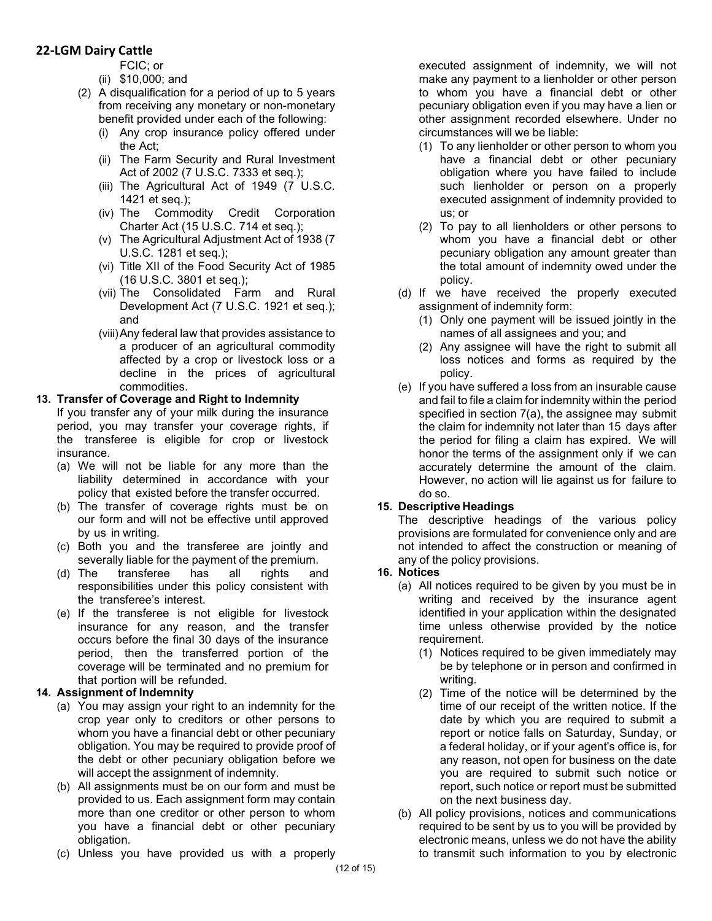FCIC; or

- (ii) \$10,000; and
- (2) A disqualification for a period of up to 5 years from receiving any monetary or non-monetary benefit provided under each of the following:
	- (i) Any crop insurance policy offered under the Act;
	- (ii) The Farm Security and Rural Investment Act of 2002 (7 U.S.C. 7333 et seq.);
	- (iii) The Agricultural Act of 1949 (7 U.S.C. 1421 et seq.);
	- (iv) The Commodity Credit Corporation Charter Act (15 U.S.C. 714 et seq.);
	- (v) The Agricultural Adjustment Act of 1938 (7 U.S.C. 1281 et seq.);
	- (vi) Title XII of the Food Security Act of 1985 (16 U.S.C. 3801 et seq.);
	- (vii) The Consolidated Farm and Rural Development Act (7 U.S.C. 1921 et seq.); and
	- (viii)Any federal law that provides assistance to a producer of an agricultural commodity affected by a crop or livestock loss or a decline in the prices of agricultural commodities.

### **13. Transfer of Coverage and Right to Indemnity**

If you transfer any of your milk during the insurance period, you may transfer your coverage rights, if the transferee is eligible for crop or livestock insurance.

- (a) We will not be liable for any more than the liability determined in accordance with your policy that existed before the transfer occurred.
- (b) The transfer of coverage rights must be on our form and will not be effective until approved by us in writing.
- (c) Both you and the transferee are jointly and severally liable for the payment of the premium.
- (d) The transferee has all rights and responsibilities under this policy consistent with the transferee's interest.
- (e) If the transferee is not eligible for livestock insurance for any reason, and the transfer occurs before the final 30 days of the insurance period, then the transferred portion of the coverage will be terminated and no premium for that portion will be refunded.

### **14. Assignment of Indemnity**

- (a) You may assign your right to an indemnity for the crop year only to creditors or other persons to whom you have a financial debt or other pecuniary obligation. You may be required to provide proof of the debt or other pecuniary obligation before we will accept the assignment of indemnity.
- (b) All assignments must be on our form and must be provided to us. Each assignment form may contain more than one creditor or other person to whom you have a financial debt or other pecuniary obligation.
- (c) Unless you have provided us with a properly

executed assignment of indemnity, we will not make any payment to a lienholder or other person to whom you have a financial debt or other pecuniary obligation even if you may have a lien or other assignment recorded elsewhere. Under no circumstances will we be liable:

- (1) To any lienholder or other person to whom you have a financial debt or other pecuniary obligation where you have failed to include such lienholder or person on a properly executed assignment of indemnity provided to us; or
- (2) To pay to all lienholders or other persons to whom you have a financial debt or other pecuniary obligation any amount greater than the total amount of indemnity owed under the policy.
- (d) If we have received the properly executed assignment of indemnity form:
	- (1) Only one payment will be issued jointly in the names of all assignees and you; and
	- (2) Any assignee will have the right to submit all loss notices and forms as required by the policy.
- (e) If you have suffered a loss from an insurable cause and fail to file a claim for indemnity within the period specified in section 7(a), the assignee may submit the claim for indemnity not later than 15 days after the period for filing a claim has expired. We will honor the terms of the assignment only if we can accurately determine the amount of the claim. However, no action will lie against us for failure to do so.

### **15. Descriptive Headings**

The descriptive headings of the various policy provisions are formulated for convenience only and are not intended to affect the construction or meaning of any of the policy provisions.

### **16. Notices**

- (a) All notices required to be given by you must be in writing and received by the insurance agent identified in your application within the designated time unless otherwise provided by the notice requirement.
	- (1) Notices required to be given immediately may be by telephone or in person and confirmed in writing.
	- (2) Time of the notice will be determined by the time of our receipt of the written notice. If the date by which you are required to submit a report or notice falls on Saturday, Sunday, or a federal holiday, or if your agent's office is, for any reason, not open for business on the date you are required to submit such notice or report, such notice or report must be submitted on the next business day.
- (b) All policy provisions, notices and communications required to be sent by us to you will be provided by electronic means, unless we do not have the ability to transmit such information to you by electronic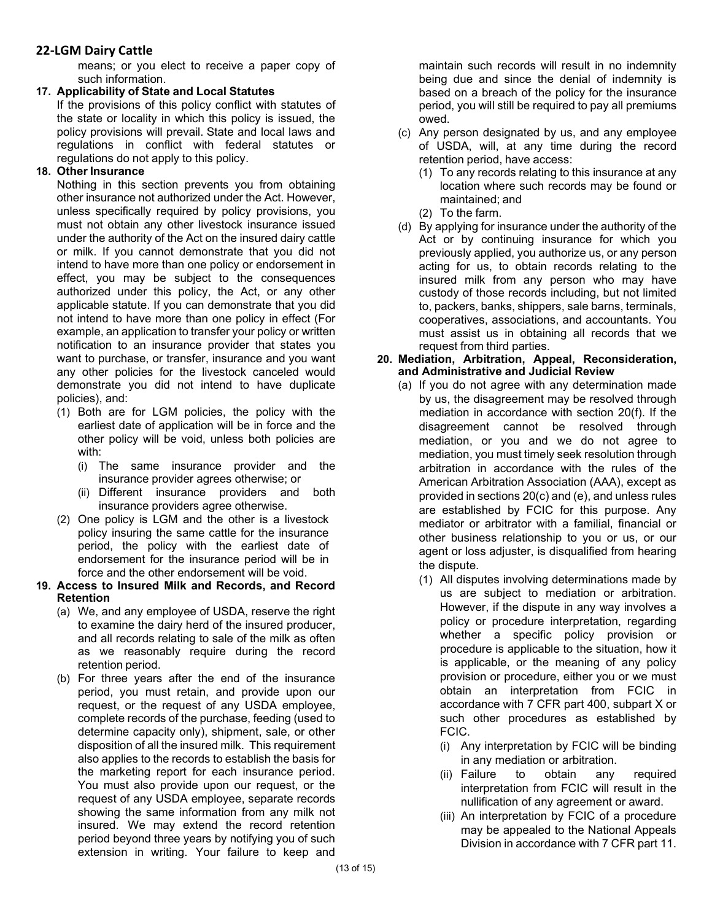means; or you elect to receive a paper copy of such information.

#### **17. Applicability of State and Local Statutes**

If the provisions of this policy conflict with statutes of the state or locality in which this policy is issued, the policy provisions will prevail. State and local laws and regulations in conflict with federal statutes or regulations do not apply to this policy.

### **18. Other Insurance**

Nothing in this section prevents you from obtaining other insurance not authorized under the Act. However, unless specifically required by policy provisions, you must not obtain any other livestock insurance issued under the authority of the Act on the insured dairy cattle or milk. If you cannot demonstrate that you did not intend to have more than one policy or endorsement in effect, you may be subject to the consequences authorized under this policy, the Act, or any other applicable statute. If you can demonstrate that you did not intend to have more than one policy in effect (For example, an application to transfer your policy or written notification to an insurance provider that states you want to purchase, or transfer, insurance and you want any other policies for the livestock canceled would demonstrate you did not intend to have duplicate policies), and:

- (1) Both are for LGM policies, the policy with the earliest date of application will be in force and the other policy will be void, unless both policies are with:
	- (i) The same insurance provider and the insurance provider agrees otherwise; or
	- (ii) Different insurance providers and both insurance providers agree otherwise.
- (2) One policy is LGM and the other is a livestock policy insuring the same cattle for the insurance period, the policy with the earliest date of endorsement for the insurance period will be in force and the other endorsement will be void.

#### **19. Access to Insured Milk and Records, and Record Retention**

- (a) We, and any employee of USDA, reserve the right to examine the dairy herd of the insured producer, and all records relating to sale of the milk as often as we reasonably require during the record retention period.
- (b) For three years after the end of the insurance period, you must retain, and provide upon our request, or the request of any USDA employee, complete records of the purchase, feeding (used to determine capacity only), shipment, sale, or other disposition of all the insured milk. This requirement also applies to the records to establish the basis for the marketing report for each insurance period. You must also provide upon our request, or the request of any USDA employee, separate records showing the same information from any milk not insured. We may extend the record retention period beyond three years by notifying you of such extension in writing. Your failure to keep and

maintain such records will result in no indemnity being due and since the denial of indemnity is based on a breach of the policy for the insurance period, you will still be required to pay all premiums owed.

- (c) Any person designated by us, and any employee of USDA, will, at any time during the record retention period, have access:
	- (1) To any records relating to this insurance at any location where such records may be found or maintained; and
	- (2) To the farm.
- (d) By applying for insurance under the authority of the Act or by continuing insurance for which you previously applied, you authorize us, or any person acting for us, to obtain records relating to the insured milk from any person who may have custody of those records including, but not limited to, packers, banks, shippers, sale barns, terminals, cooperatives, associations, and accountants. You must assist us in obtaining all records that we request from third parties.

#### **20. Mediation, Arbitration, Appeal, Reconsideration, and Administrative and Judicial Review**

- (a) If you do not agree with any determination made by us, the disagreement may be resolved through mediation in accordance with section 20(f). If the disagreement cannot be resolved through mediation, or you and we do not agree to mediation, you must timely seek resolution through arbitration in accordance with the rules of the American Arbitration Association (AAA), except as provided in sections 20(c) and (e), and unless rules are established by FCIC for this purpose. Any mediator or arbitrator with a familial, financial or other business relationship to you or us, or our agent or loss adjuster, is disqualified from hearing the dispute.
	- (1) All disputes involving determinations made by us are subject to mediation or arbitration. However, if the dispute in any way involves a policy or procedure interpretation, regarding whether a specific policy provision or procedure is applicable to the situation, how it is applicable, or the meaning of any policy provision or procedure, either you or we must obtain an interpretation from FCIC in accordance with 7 CFR part 400, subpart X or such other procedures as established by FCIC.
		- (i) Any interpretation by FCIC will be binding in any mediation or arbitration.
		- (ii) Failure to obtain any required interpretation from FCIC will result in the nullification of any agreement or award.
		- (iii) An interpretation by FCIC of a procedure may be appealed to the National Appeals Division in accordance with 7 CFR part 11.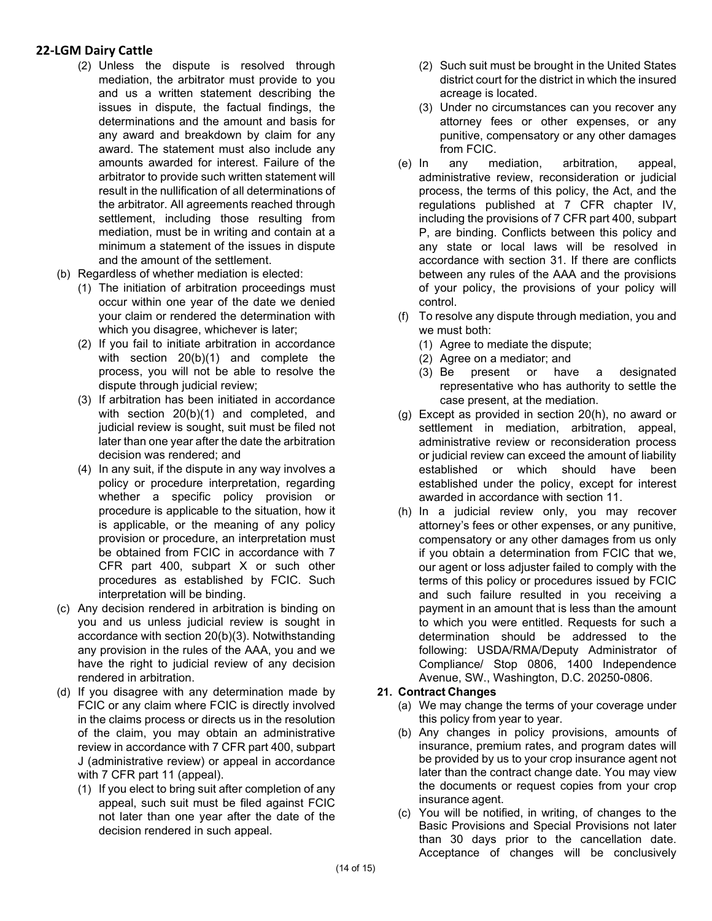- (2) Unless the dispute is resolved through mediation, the arbitrator must provide to you and us a written statement describing the issues in dispute, the factual findings, the determinations and the amount and basis for any award and breakdown by claim for any award. The statement must also include any amounts awarded for interest. Failure of the arbitrator to provide such written statement will result in the nullification of all determinations of the arbitrator. All agreements reached through settlement, including those resulting from mediation, must be in writing and contain at a minimum a statement of the issues in dispute and the amount of the settlement.
- (b) Regardless of whether mediation is elected:
	- (1) The initiation of arbitration proceedings must occur within one year of the date we denied your claim or rendered the determination with which you disagree, whichever is later;
	- (2) If you fail to initiate arbitration in accordance with section 20(b)(1) and complete the process, you will not be able to resolve the dispute through judicial review;
	- (3) If arbitration has been initiated in accordance with section 20(b)(1) and completed, and judicial review is sought, suit must be filed not later than one year after the date the arbitration decision was rendered; and
	- (4) In any suit, if the dispute in any way involves a policy or procedure interpretation, regarding whether a specific policy provision or procedure is applicable to the situation, how it is applicable, or the meaning of any policy provision or procedure, an interpretation must be obtained from FCIC in accordance with 7 CFR part 400, subpart X or such other procedures as established by FCIC. Such interpretation will be binding.
- (c) Any decision rendered in arbitration is binding on you and us unless judicial review is sought in accordance with section 20(b)(3). Notwithstanding any provision in the rules of the AAA, you and we have the right to judicial review of any decision rendered in arbitration.
- (d) If you disagree with any determination made by FCIC or any claim where FCIC is directly involved in the claims process or directs us in the resolution of the claim, you may obtain an administrative review in accordance with 7 CFR part 400, subpart J (administrative review) or appeal in accordance with 7 CFR part 11 (appeal).
	- (1) If you elect to bring suit after completion of any appeal, such suit must be filed against FCIC not later than one year after the date of the decision rendered in such appeal.
- (2) Such suit must be brought in the United States district court for the district in which the insured acreage is located.
- (3) Under no circumstances can you recover any attorney fees or other expenses, or any punitive, compensatory or any other damages from FCIC.
- (e) In any mediation, arbitration, appeal, administrative review, reconsideration or judicial process, the terms of this policy, the Act, and the regulations published at 7 CFR chapter IV, including the provisions of 7 CFR part 400, subpart P, are binding. Conflicts between this policy and any state or local laws will be resolved in accordance with section 31. If there are conflicts between any rules of the AAA and the provisions of your policy, the provisions of your policy will control.
- (f) To resolve any dispute through mediation, you and we must both:
	- (1) Agree to mediate the dispute;
	- (2) Agree on a mediator; and
	- (3) Be present or have a designated representative who has authority to settle the case present, at the mediation.
- (g) Except as provided in section 20(h), no award or settlement in mediation, arbitration, appeal, administrative review or reconsideration process or judicial review can exceed the amount of liability established or which should have been established under the policy, except for interest awarded in accordance with section 11.
- (h) In a judicial review only, you may recover attorney's fees or other expenses, or any punitive, compensatory or any other damages from us only if you obtain a determination from FCIC that we, our agent or loss adjuster failed to comply with the terms of this policy or procedures issued by FCIC and such failure resulted in you receiving a payment in an amount that is less than the amount to which you were entitled. Requests for such a determination should be addressed to the following: USDA/RMA/Deputy Administrator of Compliance/ Stop 0806, 1400 Independence Avenue, SW., Washington, D.C. 20250-0806.

#### **21. Contract Changes**

- (a) We may change the terms of your coverage under this policy from year to year.
- (b) Any changes in policy provisions, amounts of insurance, premium rates, and program dates will be provided by us to your crop insurance agent not later than the contract change date. You may view the documents or request copies from your crop insurance agent.
- (c) You will be notified, in writing, of changes to the Basic Provisions and Special Provisions not later than 30 days prior to the cancellation date. Acceptance of changes will be conclusively